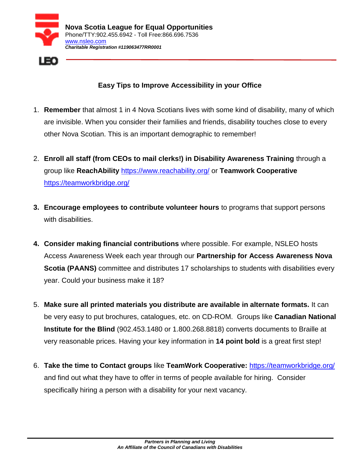



## **Easy Tips to Improve Accessibility in your Office**

- 1. **Remember** that almost 1 in 4 Nova Scotians lives with some kind of disability, many of which are invisible. When you consider their families and friends, disability touches close to every other Nova Scotian. This is an important demographic to remember!
- 2. **Enroll all staff (from CEOs to mail clerks!) in Disability Awareness Training** through a group like **ReachAbility** <https://www.reachability.org/> or **Teamwork Cooperative**  <https://teamworkbridge.org/>
- **3. Encourage employees to contribute volunteer hours** to programs that support persons with disabilities.
- **4. Consider making financial contributions** where possible. For example, NSLEO hosts Access Awareness Week each year through our **Partnership for Access Awareness Nova Scotia (PAANS)** committee and distributes 17 scholarships to students with disabilities every year. Could your business make it 18?
- 5. **Make sure all printed materials you distribute are available in alternate formats.** It can be very easy to put brochures, catalogues, etc. on CD-ROM. Groups like **Canadian National Institute for the Blind** (902.453.1480 or 1.800.268.8818) converts documents to Braille at very reasonable prices. Having your key information in **14 point bold** is a great first step!
- 6. **Take the time to Contact groups** like **TeamWork Cooperative:** <https://teamworkbridge.org/> and find out what they have to offer in terms of people available for hiring. Consider specifically hiring a person with a disability for your next vacancy.